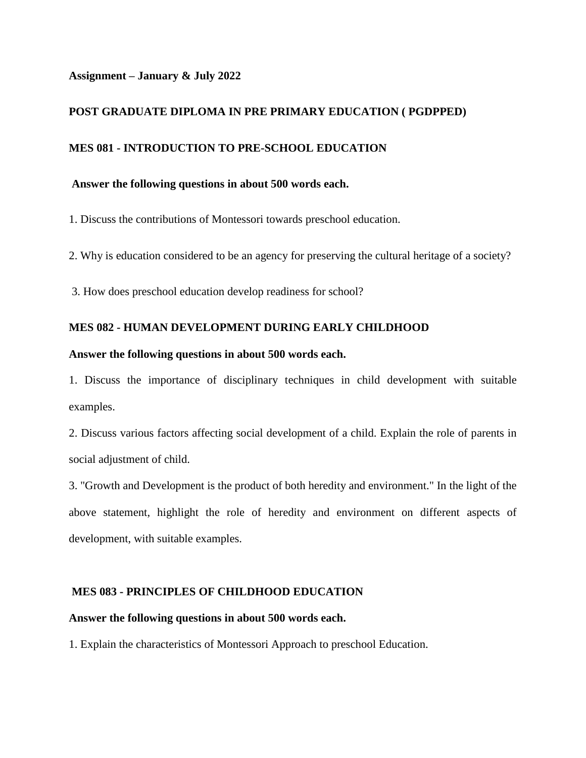### **Assignment – January & July 2022**

# **POST GRADUATE DIPLOMA IN PRE PRIMARY EDUCATION ( PGDPPED)**

## **MES 081 - INTRODUCTION TO PRE-SCHOOL EDUCATION**

### **Answer the following questions in about 500 words each.**

1. Discuss the contributions of Montessori towards preschool education.

2. Why is education considered to be an agency for preserving the cultural heritage of a society?

3. How does preschool education develop readiness for school?

## **MES 082 - HUMAN DEVELOPMENT DURING EARLY CHILDHOOD**

### **Answer the following questions in about 500 words each.**

1. Discuss the importance of disciplinary techniques in child development with suitable examples.

2. Discuss various factors affecting social development of a child. Explain the role of parents in social adjustment of child.

3. "Growth and Development is the product of both heredity and environment." In the light of the above statement, highlight the role of heredity and environment on different aspects of development, with suitable examples.

### **MES 083 - PRINCIPLES OF CHILDHOOD EDUCATION**

#### **Answer the following questions in about 500 words each.**

1. Explain the characteristics of Montessori Approach to preschool Education.